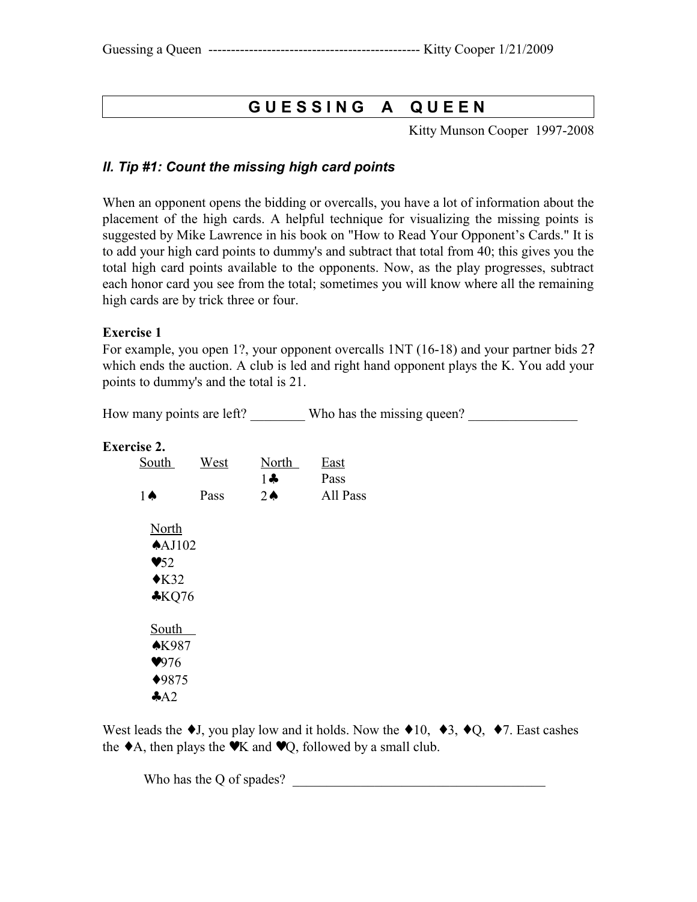# **G U E S S I N G A Q U E E N**

Kitty Munson Cooper 1997-2008

## *lI. Tip #1: Count the missing high card points*

When an opponent opens the bidding or overcalls, you have a lot of information about the placement of the high cards. A helpful technique for visualizing the missing points is suggested by Mike Lawrence in his book on "How to Read Your Opponent's Cards." It is to add your high card points to dummy's and subtract that total from 40; this gives you the total high card points available to the opponents. Now, as the play progresses, subtract each honor card you see from the total; sometimes you will know where all the remaining high cards are by trick three or four.

### **Exercise 1**

For example, you open 1?, your opponent overcalls 1NT (16-18) and your partner bids 2? which ends the auction. A club is led and right hand opponent plays the K. You add your points to dummy's and the total is 21.

How many points are left? Who has the missing queen?

### **Exercise 2.**

| South                    | West | North         | East     |
|--------------------------|------|---------------|----------|
|                          |      | $1 -$         | Pass     |
| $1\spadesuit$            | Pass | $2\spadesuit$ | All Pass |
| <b>North</b>             |      |               |          |
| $A$ AJ $102$             |      |               |          |
| $\blacktriangledown$ 52  |      |               |          |
| $\triangle$ K32          |      |               |          |
| $*KQ76$                  |      |               |          |
| South                    |      |               |          |
| $\triangle$ K987         |      |               |          |
| $\blacktriangledown 976$ |      |               |          |
| $*9875$                  |      |               |          |
| A <sub>2</sub>           |      |               |          |

West leads the  $\triangleleft$  J, you play low and it holds. Now the  $\triangleleft$  10,  $\triangleleft$  3,  $\triangleleft$  Q,  $\triangleleft$  7. East cashes the  $\triangle$ A, then plays the  $\triangledown K$  and  $\triangledown O$ , followed by a small club.

Who has the Q of spades?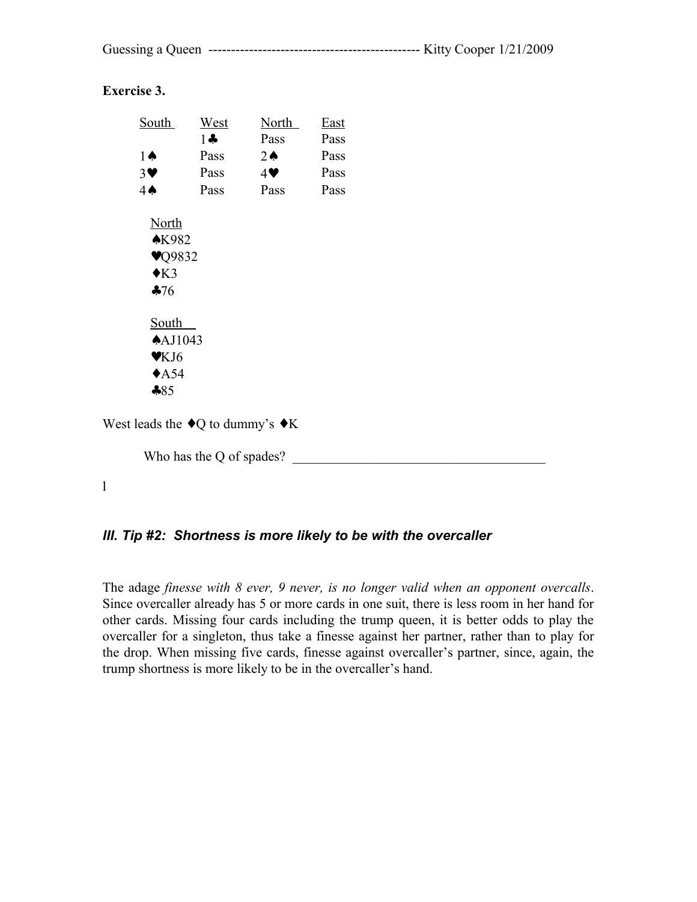|--|--|--|--|--|

**Exercise 3.** 

| South                                                                                    | West  | North         | <b>East</b> |  |
|------------------------------------------------------------------------------------------|-------|---------------|-------------|--|
|                                                                                          | $1 -$ | Pass          | Pass        |  |
| $1\spadesuit$                                                                            | Pass  | $2\spadesuit$ | Pass        |  |
| $3\vee$                                                                                  | Pass  | 4♥            | Pass        |  |
| $4\spadesuit$                                                                            | Pass  | Pass          | Pass        |  |
| <u>North</u><br>$\triangle$ K982<br>$\blacktriangledown$ 9832<br>$\triangle$ K3<br>$*76$ |       |               |             |  |
| <b>South</b><br>$\triangle$ AJ1043<br>$\blacktriangledown$ KJ6                           |       |               |             |  |
| $\triangle$ A54<br>$*85$                                                                 |       |               |             |  |
| leads the $\triangleleft Q$ to dummy's $\triangleleft K$                                 |       |               |             |  |

Who has the  $Q$  of spades?

l

West

## *lII. Tip #2: Shortness is more likely to be with the overcaller*

The adage *finesse with 8 ever, 9 never, is no longer valid when an opponent overcalls*. Since overcaller already has 5 or more cards in one suit, there is less room in her hand for other cards. Missing four cards including the trump queen, it is better odds to play the overcaller for a singleton, thus take a finesse against her partner, rather than to play for the drop. When missing five cards, finesse against overcaller's partner, since, again, the trump shortness is more likely to be in the overcaller's hand.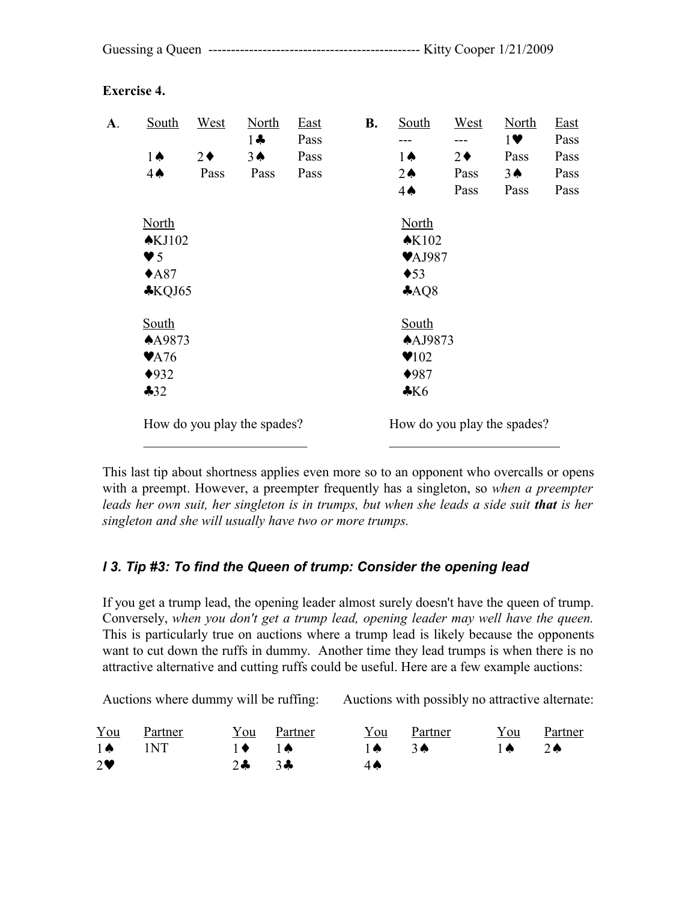|--|--|

**Exercise 4.** 

| <u>West</u>              | <b>North</b>                  | <b>East</b> | <b>B.</b>                   | South                      | West       | <b>North</b>                                   | <b>East</b>                 |  |  |
|--------------------------|-------------------------------|-------------|-----------------------------|----------------------------|------------|------------------------------------------------|-----------------------------|--|--|
|                          | $1 -$                         | Pass        |                             |                            |            | $1 \vee$                                       | Pass                        |  |  |
| $2\bullet$               | $3\spadesuit$                 | Pass        |                             | $1\spadesuit$              | $2\bullet$ | Pass                                           | Pass                        |  |  |
| Pass                     | Pass                          | Pass        |                             | $2\spadesuit$              | Pass       | $3\spadesuit$                                  | Pass                        |  |  |
|                          |                               |             |                             | $4\spadesuit$              | Pass       | Pass                                           | Pass                        |  |  |
|                          |                               |             |                             | <b>North</b>               |            |                                                |                             |  |  |
|                          |                               |             |                             |                            |            |                                                |                             |  |  |
|                          |                               |             |                             |                            |            |                                                |                             |  |  |
|                          |                               |             |                             | $\triangleleft$ 53         |            |                                                |                             |  |  |
|                          |                               |             | AQQ                         |                            |            |                                                |                             |  |  |
| <u>South</u>             |                               |             |                             | <b>South</b>               |            |                                                |                             |  |  |
| A49873                   |                               |             |                             | $A$ <sub>4</sub> $A$ J9873 |            |                                                |                             |  |  |
| $\blacktriangledown$ A76 |                               |             |                             | $\blacktriangledown$ 102   |            |                                                |                             |  |  |
| $\blacklozenge$ 932      |                               |             | $\blacklozenge 987$         |                            |            |                                                |                             |  |  |
|                          |                               |             |                             | $*K6$                      |            |                                                |                             |  |  |
|                          |                               |             |                             |                            |            |                                                |                             |  |  |
|                          | $\triangle$ KJ102<br>$*KQJ65$ |             | How do you play the spades? |                            |            | $\triangle$ K102<br>$\blacktriangledown$ AJ987 | How do you play the spades? |  |  |

This last tip about shortness applies even more so to an opponent who overcalls or opens with a preempt. However, a preempter frequently has a singleton, so *when a preempter leads her own suit, her singleton is in trumps, but when she leads a side suit that is her singleton and she will usually have two or more trumps.*

# *l 3. Tip #3: To find the Queen of trump: Consider the opening lead*

If you get a trump lead, the opening leader almost surely doesn't have the queen of trump. Conversely, *when you don't get a trump lead, opening leader may well have the queen.* This is particularly true on auctions where a trump lead is likely because the opponents want to cut down the ruffs in dummy. Another time they lead trumps is when there is no attractive alternative and cutting ruffs could be useful. Here are a few example auctions:

Auctions where dummy will be ruffing: Auctions with possibly no attractive alternate:

| You Partner              |             | You Partner                                                                                                                                           | You Partner    | You Partner |  |
|--------------------------|-------------|-------------------------------------------------------------------------------------------------------------------------------------------------------|----------------|-------------|--|
| $1\spadesuit$ $1\rm{NT}$ |             | $\mathbf{1} \bullet \quad \mathbf{1} \bullet \qquad \mathbf{1} \bullet \qquad \mathbf{3} \bullet \qquad \mathbf{1} \bullet \qquad \mathbf{2} \bullet$ |                |             |  |
| $2\bullet$               | $2 - 3 - 3$ |                                                                                                                                                       | $4 \spadesuit$ |             |  |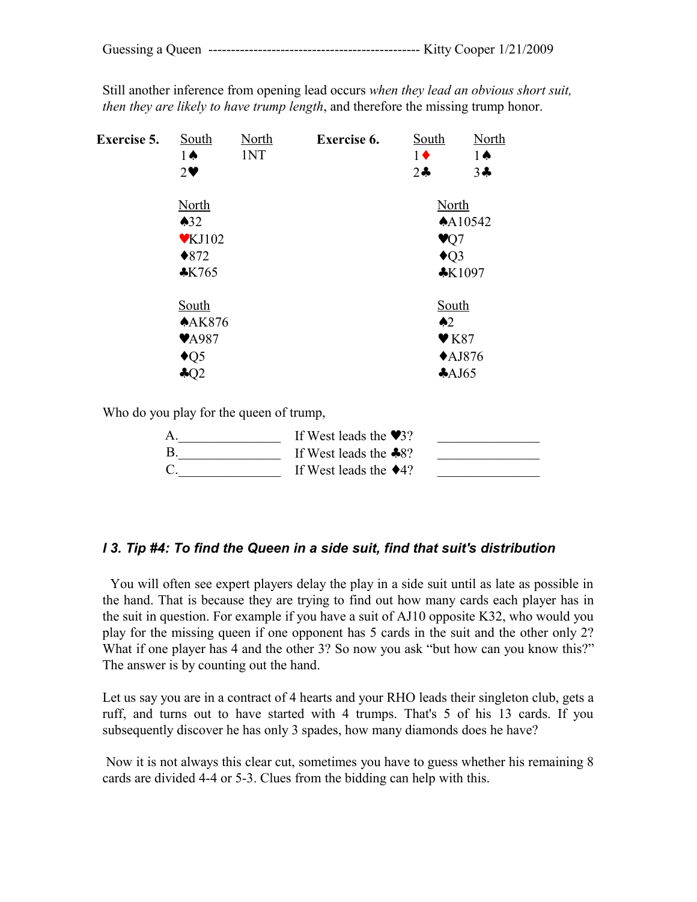| Guessing a Queen |  |  |  |  |
|------------------|--|--|--|--|
|------------------|--|--|--|--|

Still another inference from opening lead occurs *when they lead an obvious short suit, then they are likely to have trump length*, and therefore the missing trump honor.

| <b>Exercise 5.</b> | South<br>$1\spadesuit$<br>$2\bullet$ | <b>North</b><br>1NT | <b>Exercise 6.</b> | South<br>$1\bullet$<br>$2 -$ | <b>North</b><br>$1\spadesuit$<br>$3 +$ |
|--------------------|--------------------------------------|---------------------|--------------------|------------------------------|----------------------------------------|
|                    | <b>North</b>                         |                     |                    | <b>North</b>                 |                                        |
|                    | $\triangle 32$                       |                     |                    |                              | A10542                                 |
|                    | $\blacktriangledown$ KJ102           |                     |                    | $\blacktriangledown$         |                                        |
|                    | $\triangle 872$                      |                     |                    | $\triangleleft Q3$           |                                        |
|                    | $*K765$                              |                     |                    |                              | $*K1097$                               |
|                    | <b>South</b>                         |                     |                    | <b>South</b>                 |                                        |
|                    | A K876                               |                     |                    | $\triangle^2$                |                                        |
|                    | $\blacktriangledown$ A987            |                     |                    | $\blacktriangledown$ K87     |                                        |
|                    | $\triangle$ Q5                       |                     |                    |                              | $\triangle$ AJ876                      |
|                    | $\clubsuit$ Q2                       |                     |                    | AJ65                         |                                        |

Who do you play for the queen of trump,

| If West leads the $\blacktriangledown$ 3? |  |
|-------------------------------------------|--|
| If West leads the $\clubsuit 8$ ?         |  |
| If West leads the $\triangle 4$ ?         |  |

#### *l 3. Tip #4: To find the Queen in a side suit, find that suit's distribution*

 You will often see expert players delay the play in a side suit until as late as possible in the hand. That is because they are trying to find out how many cards each player has in the suit in question. For example if you have a suit of AJ10 opposite K32, who would you play for the missing queen if one opponent has 5 cards in the suit and the other only 2? What if one player has 4 and the other 3? So now you ask "but how can you know this?" The answer is by counting out the hand.

Let us say you are in a contract of 4 hearts and your RHO leads their singleton club, gets a ruff, and turns out to have started with 4 trumps. That's 5 of his 13 cards. If you subsequently discover he has only 3 spades, how many diamonds does he have?

 Now it is not always this clear cut, sometimes you have to guess whether his remaining 8 cards are divided 4-4 or 5-3. Clues from the bidding can help with this.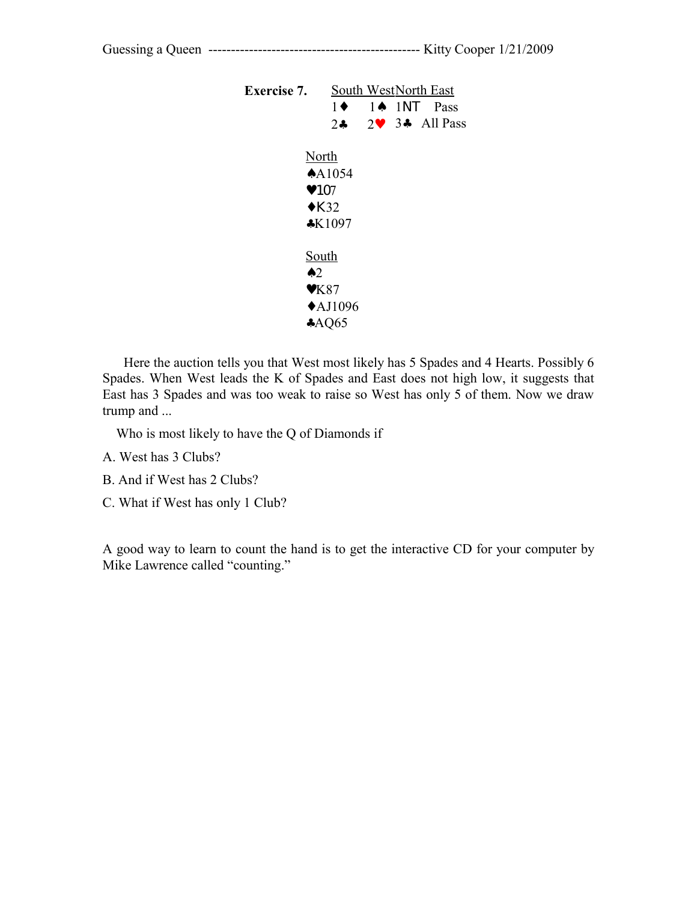| <b>Exercise 7.</b>       | South WestNorth East |  |  |                         |  |
|--------------------------|----------------------|--|--|-------------------------|--|
|                          | 1 ♦                  |  |  | $1 \spadesuit$ 1NT Pass |  |
|                          | $2 -$                |  |  | $2 \times 3$ All Pass   |  |
|                          |                      |  |  |                         |  |
| North                    |                      |  |  |                         |  |
|                          | A41054               |  |  |                         |  |
| $\blacktriangledown$ 107 |                      |  |  |                         |  |
| $\triangle$ K32          |                      |  |  |                         |  |
|                          | $*K1097$             |  |  |                         |  |
|                          |                      |  |  |                         |  |
| South                    |                      |  |  |                         |  |
| $\triangle^2$            |                      |  |  |                         |  |
| $\mathbf{v}$ K87         |                      |  |  |                         |  |
|                          | $\triangle$ AJ1096   |  |  |                         |  |
|                          | AQ65                 |  |  |                         |  |

 Here the auction tells you that West most likely has 5 Spades and 4 Hearts. Possibly 6 Spades. When West leads the K of Spades and East does not high low, it suggests that East has 3 Spades and was too weak to raise so West has only 5 of them. Now we draw trump and ...

Who is most likely to have the Q of Diamonds if

- A. West has 3 Clubs?
- B. And if West has 2 Clubs?
- C. What if West has only 1 Club?

A good way to learn to count the hand is to get the interactive CD for your computer by Mike Lawrence called "counting."